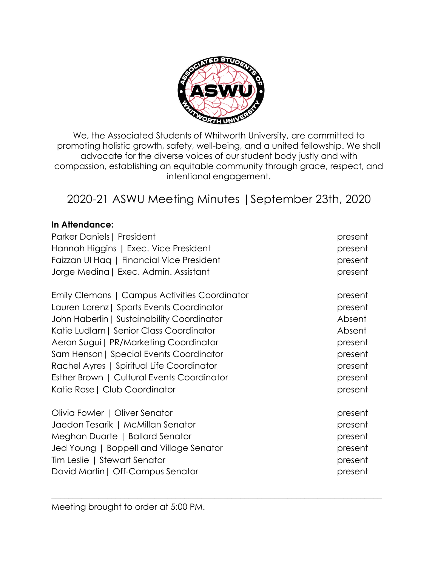

We, the Associated Students of Whitworth University, are committed to promoting holistic growth, safety, well-being, and a united fellowship. We shall advocate for the diverse voices of our student body justly and with compassion, establishing an equitable community through grace, respect, and intentional engagement.

# 2020-21 ASWU Meeting Minutes |September 23th, 2020

## **In Attendance:**

| Parker Daniels   President                    | present |
|-----------------------------------------------|---------|
| Hannah Higgins   Exec. Vice President         | present |
| Faizzan UI Haq   Financial Vice President     | present |
| Jorge Medina   Exec. Admin. Assistant         | present |
| Emily Clemons   Campus Activities Coordinator | present |
| Lauren Lorenz   Sports Events Coordinator     | present |
| John Haberlin   Sustainability Coordinator    | Absent  |
| Katie Ludlam   Senior Class Coordinator       | Absent  |
| Aeron Sugui   PR/Marketing Coordinator        | present |
| Sam Henson   Special Events Coordinator       | present |
| Rachel Ayres   Spiritual Life Coordinator     | present |
| Esther Brown   Cultural Events Coordinator    | present |
| Katie Rose   Club Coordinator                 | present |
| Olivia Fowler   Oliver Senator                | present |
| Jaedon Tesarik   McMillan Senator             | present |
| Meghan Duarte   Ballard Senator               | present |
| Jed Young   Boppell and Village Senator       | present |
| Tim Leslie   Stewart Senator                  | present |
| David Martin   Off-Campus Senator             | present |
|                                               |         |

 $\_$  , and the set of the set of the set of the set of the set of the set of the set of the set of the set of the set of the set of the set of the set of the set of the set of the set of the set of the set of the set of th

Meeting brought to order at 5:00 PM.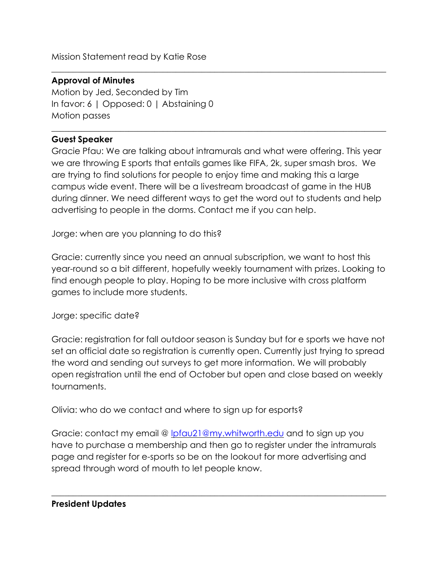Mission Statement read by Katie Rose

# **Approval of Minutes**

Motion by Jed, Seconded by Tim In favor: 6 | Opposed: 0 | Abstaining 0 Motion passes

## **Guest Speaker**

Gracie Pfau: We are talking about intramurals and what were offering. This year we are throwing E sports that entails games like FIFA, 2k, super smash bros. We are trying to find solutions for people to enjoy time and making this a large campus wide event. There will be a livestream broadcast of game in the HUB during dinner. We need different ways to get the word out to students and help advertising to people in the dorms. Contact me if you can help.

\_\_\_\_\_\_\_\_\_\_\_\_\_\_\_\_\_\_\_\_\_\_\_\_\_\_\_\_\_\_\_\_\_\_\_\_\_\_\_\_\_\_\_\_\_\_\_\_\_\_\_\_\_\_\_\_\_\_\_\_\_\_\_\_\_\_\_\_\_\_\_\_\_\_\_\_\_\_

\_\_\_\_\_\_\_\_\_\_\_\_\_\_\_\_\_\_\_\_\_\_\_\_\_\_\_\_\_\_\_\_\_\_\_\_\_\_\_\_\_\_\_\_\_\_\_\_\_\_\_\_\_\_\_\_\_\_\_\_\_\_\_\_\_\_\_\_\_\_\_\_\_\_\_\_\_\_

Jorge: when are you planning to do this?

Gracie: currently since you need an annual subscription, we want to host this year-round so a bit different, hopefully weekly tournament with prizes. Looking to find enough people to play. Hoping to be more inclusive with cross platform games to include more students.

Jorge: specific date?

Gracie: registration for fall outdoor season is Sunday but for e sports we have not set an official date so registration is currently open. Currently just trying to spread the word and sending out surveys to get more information. We will probably open registration until the end of October but open and close based on weekly tournaments.

Olivia: who do we contact and where to sign up for esports?

Gracie: contact my email @ [lpfau21@my.whitworth.edu](mailto:lpfau21@my.whitworth.edu) and to sign up you have to purchase a membership and then go to register under the intramurals page and register for e-sports so be on the lookout for more advertising and spread through word of mouth to let people know.

 $\_$  , and the set of the set of the set of the set of the set of the set of the set of the set of the set of the set of the set of the set of the set of the set of the set of the set of the set of the set of the set of th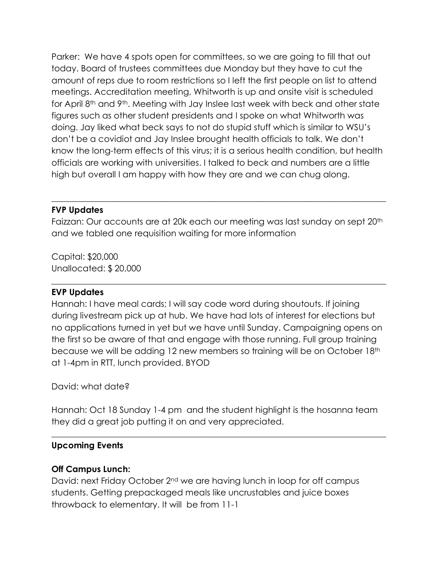Parker: We have 4 spots open for committees, so we are going to fill that out today. Board of trustees committees due Monday but they have to cut the amount of reps due to room restrictions so I left the first people on list to attend meetings. Accreditation meeting, Whitworth is up and onsite visit is scheduled for April 8th and 9th. Meeting with Jay Inslee last week with beck and other state figures such as other student presidents and I spoke on what Whitworth was doing. Jay liked what beck says to not do stupid stuff which is similar to WSU's don't be a covidiot and Jay Inslee brought health officials to talk. We don't know the long-term effects of this virus; it is a serious health condition, but health officials are working with universities. I talked to beck and numbers are a little high but overall I am happy with how they are and we can chug along.

## **FVP Updates**

Faizzan: Our accounts are at 20k each our meeting was last sunday on sept 20<sup>th</sup> and we tabled one requisition waiting for more information

 $\_$  , and the set of the set of the set of the set of the set of the set of the set of the set of the set of the set of the set of the set of the set of the set of the set of the set of the set of the set of the set of th

 $\_$  , and the set of the set of the set of the set of the set of the set of the set of the set of the set of the set of the set of the set of the set of the set of the set of the set of the set of the set of the set of th

Capital: \$20,000 Unallocated: \$ 20,000

## **EVP Updates**

Hannah: I have meal cards; I will say code word during shoutouts. If joining during livestream pick up at hub. We have had lots of interest for elections but no applications turned in yet but we have until Sunday. Campaigning opens on the first so be aware of that and engage with those running. Full group training because we will be adding 12 new members so training will be on October 18th at 1-4pm in RTT, lunch provided. BYOD

## David: what date?

Hannah: Oct 18 Sunday 1-4 pm and the student highlight is the hosanna team they did a great job putting it on and very appreciated.

 $\_$  , and the set of the set of the set of the set of the set of the set of the set of the set of the set of the set of the set of the set of the set of the set of the set of the set of the set of the set of the set of th

#### **Upcoming Events**

#### **Off Campus Lunch:**

David: next Friday October 2nd we are having lunch in loop for off campus students. Getting prepackaged meals like uncrustables and juice boxes throwback to elementary. It will be from 11-1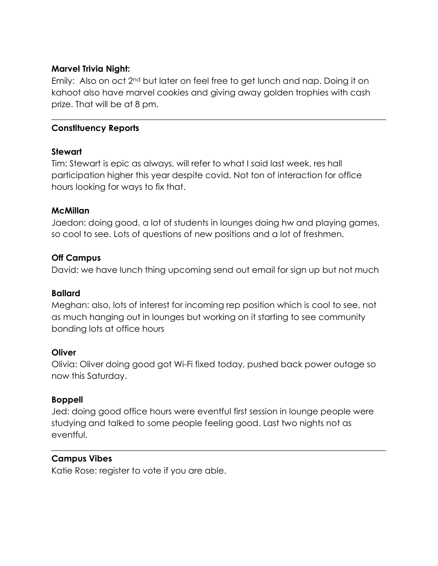#### **Marvel Trivia Night:**

Emily: Also on oct 2nd but later on feel free to get lunch and nap. Doing it on kahoot also have marvel cookies and giving away golden trophies with cash prize. That will be at 8 pm.

 $\_$  , and the set of the set of the set of the set of the set of the set of the set of the set of the set of the set of the set of the set of the set of the set of the set of the set of the set of the set of the set of th

## **Constituency Reports**

## **Stewart**

Tim: Stewart is epic as always, will refer to what I said last week, res hall participation higher this year despite covid. Not ton of interaction for office hours looking for ways to fix that.

## **McMillan**

Jaedon: doing good, a lot of students in lounges doing hw and playing games, so cool to see. Lots of questions of new positions and a lot of freshmen.

## **Off Campus**

David: we have lunch thing upcoming send out email for sign up but not much

#### **Ballard**

Meghan: also, lots of interest for incoming rep position which is cool to see, not as much hanging out in lounges but working on it starting to see community bonding lots at office hours

#### **Oliver**

Olivia: Oliver doing good got Wi-Fi fixed today, pushed back power outage so now this Saturday.

## **Boppell**

Jed: doing good office hours were eventful first session in lounge people were studying and talked to some people feeling good. Last two nights not as eventful.

 $\_$  , and the set of the set of the set of the set of the set of the set of the set of the set of the set of the set of the set of the set of the set of the set of the set of the set of the set of the set of the set of th

#### **Campus Vibes**

Katie Rose: register to vote if you are able.